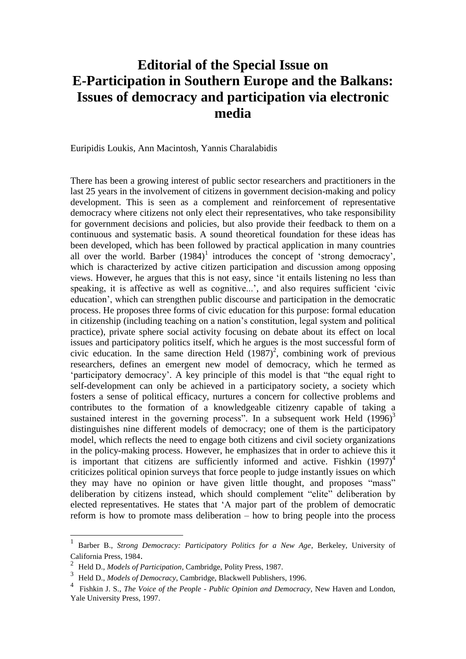## **Editorial of the Special Issue on E-Participation in Southern Europe and the Balkans: Issues of democracy and participation via electronic media**

Euripidis Loukis, Ann Macintosh, Yannis Charalabidis

There has been a growing interest of public sector researchers and practitioners in the last 25 years in the involvement of citizens in government decision-making and policy development. This is seen as a complement and reinforcement of representative democracy where citizens not only elect their representatives, who take responsibility for government decisions and policies, but also provide their feedback to them on a continuous and systematic basis. A sound theoretical foundation for these ideas has been developed, which has been followed by practical application in many countries all over the world. Barber  $(1984)^1$  introduces the concept of 'strong democracy', which is characterized by active citizen participation and discussion among opposing views. However, he argues that this is not easy, since ‗it entails listening no less than speaking, it is affective as well as cognitive...', and also requires sufficient 'civic education', which can strengthen public discourse and participation in the democratic process. He proposes three forms of civic education for this purpose: formal education in citizenship (including teaching on a nation's constitution, legal system and political practice), private sphere social activity focusing on debate about its effect on local issues and participatory politics itself, which he argues is the most successful form of civic education. In the same direction Held  $(1987)^2$ , combining work of previous researchers, defines an emergent new model of democracy, which he termed as 'participatory democracy'. A key principle of this model is that "the equal right to self-development can only be achieved in a participatory society, a society which fosters a sense of political efficacy, nurtures a concern for collective problems and contributes to the formation of a knowledgeable citizenry capable of taking a sustained interest in the governing process". In a subsequent work Held  $(1996)^3$ distinguishes nine different models of democracy; one of them is the participatory model, which reflects the need to engage both citizens and civil society organizations in the policy-making process. However, he emphasizes that in order to achieve this it is important that citizens are sufficiently informed and active. Fishkin (1997)<sup>4</sup> criticizes political opinion surveys that force people to judge instantly issues on which they may have no opinion or have given little thought, and proposes "mass" deliberation by citizens instead, which should complement "elite" deliberation by elected representatives. He states that ‗A major part of the problem of democratic reform is how to promote mass deliberation – how to bring people into the process

<sup>&</sup>lt;sup>1</sup> Barber B., *Strong Democracy: Participatory Politics for a New Age*, Berkeley, University of California Press, 1984.

<sup>&</sup>lt;sup>2</sup> Held D., *Models of Participation*, Cambridge, Polity Press, 1987.

Held D., *Models of Democracy*, Cambridge, Blackwell Publishers, 1996.

<sup>4</sup> Fishkin J. S., *The Voice of the People - Public Opinion and Democracy*, New Haven and London, Yale University Press, 1997.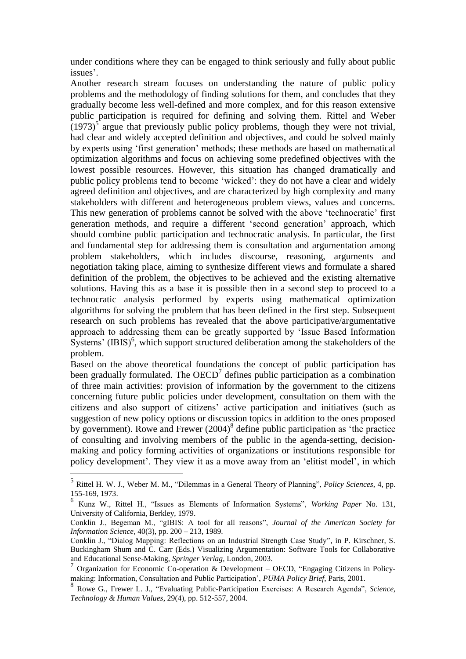under conditions where they can be engaged to think seriously and fully about public issues'.

Another research stream focuses on understanding the nature of public policy problems and the methodology of finding solutions for them, and concludes that they gradually become less well-defined and more complex, and for this reason extensive public participation is required for defining and solving them. Rittel and Weber  $(1973)^{5}$  argue that previously public policy problems, though they were not trivial, had clear and widely accepted definition and objectives, and could be solved mainly by experts using ‗first generation' methods; these methods are based on mathematical optimization algorithms and focus on achieving some predefined objectives with the lowest possible resources. However, this situation has changed dramatically and public policy problems tend to become 'wicked': they do not have a clear and widely agreed definition and objectives, and are characterized by high complexity and many stakeholders with different and heterogeneous problem views, values and concerns. This new generation of problems cannot be solved with the above 'technocratic' first generation methods, and require a different 'second generation' approach, which should combine public participation and technocratic analysis. In particular, the first and fundamental step for addressing them is consultation and argumentation among problem stakeholders, which includes discourse, reasoning, arguments and negotiation taking place, aiming to synthesize different views and formulate a shared definition of the problem, the objectives to be achieved and the existing alternative solutions. Having this as a base it is possible then in a second step to proceed to a technocratic analysis performed by experts using mathematical optimization algorithms for solving the problem that has been defined in the first step. Subsequent research on such problems has revealed that the above participative/argumentative approach to addressing them can be greatly supported by ‗Issue Based Information Systems'  $(BIS)^6$ , which support structured deliberation among the stakeholders of the problem.

Based on the above theoretical foundations the concept of public participation has been gradually formulated. The  $OECD<sup>7</sup>$  defines public participation as a combination of three main activities: provision of information by the government to the citizens concerning future public policies under development, consultation on them with the citizens and also support of citizens' active participation and initiatives (such as suggestion of new policy options or discussion topics in addition to the ones proposed by government). Rowe and Frewer  $(2004)^8$  define public participation as 'the practice of consulting and involving members of the public in the agenda-setting, decisionmaking and policy forming activities of organizations or institutions responsible for policy development'. They view it as a move away from an ‗elitist model', in which

<sup>&</sup>lt;sup>5</sup> Rittel H. W. J., Weber M. M., "Dilemmas in a General Theory of Planning", *Policy Sciences*, 4, pp. 155-169, 1973.

<sup>&</sup>lt;sup>6</sup> Kunz W., Rittel H., "Issues as Elements of Information Systems", *Working Paper* No. 131, University of California, Berkley, 1979.

Conklin J., Begeman M., "gIBIS: A tool for all reasons", *Journal of the American Society for Information Science*, 40(3), pp. 200 – 213, 1989.

Conklin J., "Dialog Mapping: Reflections on an Industrial Strength Case Study", in P. Kirschner, S. Buckingham Shum and C. Carr (Eds.) Visualizing Argumentation: Software Tools for Collaborative and Educational Sense-Making, *Springer Verlag*, London, 2003.

 $\frac{7}{7}$  Organization for Economic Co-operation & Development – OECD, "Engaging Citizens in Policymaking: Information, Consultation and Public Participation', *PUMA Policy Brief*, Paris, 2001.

<sup>&</sup>lt;sup>8</sup> Rowe G., Frewer L. J., "Evaluating Public-Participation Exercises: A Research Agenda", *Science*, *Technology & Human Values*, 29(4), pp. 512-557, 2004.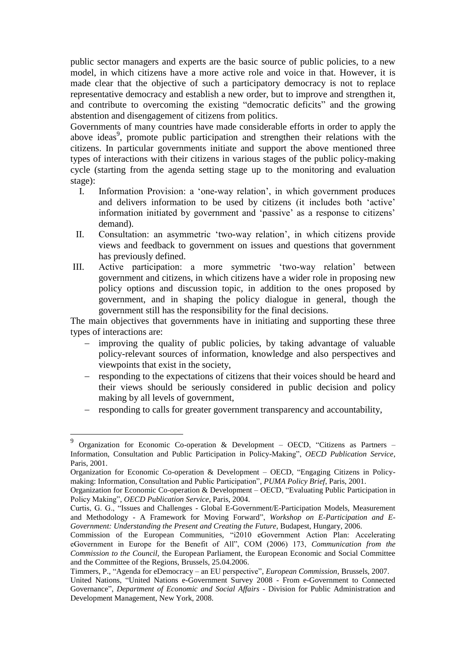public sector managers and experts are the basic source of public policies, to a new model, in which citizens have a more active role and voice in that. However, it is made clear that the objective of such a participatory democracy is not to replace representative democracy and establish a new order, but to improve and strengthen it, and contribute to overcoming the existing "democratic deficits" and the growing abstention and disengagement of citizens from politics.

Governments of many countries have made considerable efforts in order to apply the above ideas<sup>9</sup>, promote public participation and strengthen their relations with the citizens. In particular governments initiate and support the above mentioned three types of interactions with their citizens in various stages of the public policy-making cycle (starting from the agenda setting stage up to the monitoring and evaluation stage):

- I. Information Provision: a 'one-way relation', in which government produces and delivers information to be used by citizens (it includes both 'active' information initiated by government and 'passive' as a response to citizens' demand).
- II. Consultation: an asymmetric ‗two-way relation', in which citizens provide views and feedback to government on issues and questions that government has previously defined.
- III. Active participation: a more symmetric ‗two-way relation' between government and citizens, in which citizens have a wider role in proposing new policy options and discussion topic, in addition to the ones proposed by government, and in shaping the policy dialogue in general, though the government still has the responsibility for the final decisions.

The main objectives that governments have in initiating and supporting these three types of interactions are:

- improving the quality of public policies, by taking advantage of valuable policy-relevant sources of information, knowledge and also perspectives and viewpoints that exist in the society,
- responding to the expectations of citizens that their voices should be heard and their views should be seriously considered in public decision and policy making by all levels of government,
- responding to calls for greater government transparency and accountability,

<u>.</u>

Development Management, New York, 2008.

<sup>9</sup> Organization for Economic Co-operation & Development – OECD, "Citizens as Partners – Information, Consultation and Public Participation in Policy-Making", *OECD Publication Service*, Paris, 2001.

Organization for Economic Co-operation & Development – OECD, "Engaging Citizens in Policymaking: Information, Consultation and Public Participation‖, *PUMA Policy Brief*, Paris, 2001.

Organization for Economic Co-operation & Development – OECD, "Evaluating Public Participation in Policy Making", *OECD Publication Service*, Paris, 2004.

Curtis, G. G., "Issues and Challenges - Global E-Government/E-Participation Models, Measurement and Methodology - A Framework for Moving Forward", *Workshop on E-Participation and E-Government: Understanding the Present and Creating the Future*, Budapest, Hungary, 2006.

Commission of the European Communities, "i2010 eGovernment Action Plan: Accelerating eGovernment in Europe for the Benefit of All", COM (2006) 173, *Communication from the Commission to the Council,* the European Parliament, the European Economic and Social Committee and the Committee of the Regions, Brussels, 25.04.2006.

Timmers, P., "Agenda for eDemocracy – an EU perspective", *European Commission*, Brussels, 2007. United Nations, "United Nations e-Government Survey 2008 - From e-Government to Connected Governance", *Department of Economic and Social Affairs* - Division for Public Administration and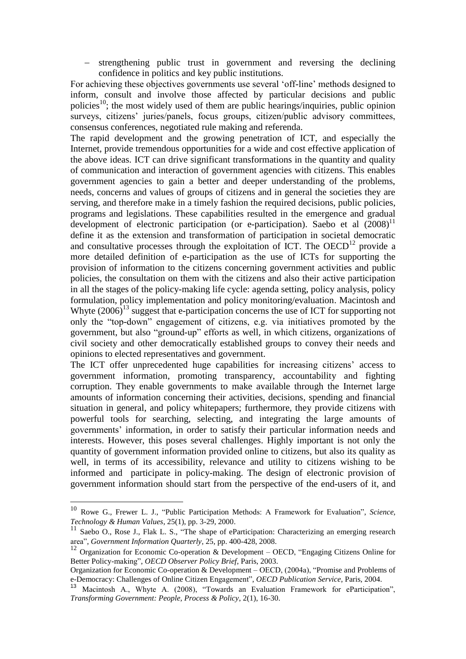strengthening public trust in government and reversing the declining confidence in politics and key public institutions.

For achieving these objectives governments use several 'off-line' methods designed to inform, consult and involve those affected by particular decisions and public policies<sup>10</sup>; the most widely used of them are public hearings/inquiries, public opinion surveys, citizens' juries/panels, focus groups, citizen/public advisory committees, consensus conferences, negotiated rule making and referenda.

The rapid development and the growing penetration of ICT, and especially the Internet, provide tremendous opportunities for a wide and cost effective application of the above ideas. ICT can drive significant transformations in the quantity and quality of communication and interaction of government agencies with citizens. This enables government agencies to gain a better and deeper understanding of the problems, needs, concerns and values of groups of citizens and in general the societies they are serving, and therefore make in a timely fashion the required decisions, public policies, programs and legislations. These capabilities resulted in the emergence and gradual development of electronic participation (or e-participation). Saebo et al  $(2008)^{11}$ define it as the extension and transformation of participation in societal democratic and consultative processes through the exploitation of ICT. The  $OECD<sup>12</sup>$  provide a more detailed definition of e-participation as the use of ICTs for supporting the provision of information to the citizens concerning government activities and public policies, the consultation on them with the citizens and also their active participation in all the stages of the policy-making life cycle: agenda setting, policy analysis, policy formulation, policy implementation and policy monitoring/evaluation. Macintosh and Whyte  $(2006)^{13}$  suggest that e-participation concerns the use of ICT for supporting not only the "top-down" engagement of citizens, e.g. via initiatives promoted by the government, but also "ground-up" efforts as well, in which citizens, organizations of civil society and other democratically established groups to convey their needs and opinions to elected representatives and government.

The ICT offer unprecedented huge capabilities for increasing citizens' access to government information, promoting transparency, accountability and fighting corruption. They enable governments to make available through the Internet large amounts of information concerning their activities, decisions, spending and financial situation in general, and policy whitepapers; furthermore, they provide citizens with powerful tools for searching, selecting, and integrating the large amounts of governments' information, in order to satisfy their particular information needs and interests. However, this poses several challenges. Highly important is not only the quantity of government information provided online to citizens, but also its quality as well, in terms of its accessibility, relevance and utility to citizens wishing to be informed and participate in policy-making. The design of electronic provision of government information should start from the perspective of the end-users of it, and

<sup>&</sup>lt;sup>10</sup> Rowe G., Frewer L. J., "Public Participation Methods: A Framework for Evaluation", *Science*, *Technology & Human Values*, 25(1), pp. 3-29, 2000.

 $11$  Saebo O., Rose J., Flak L. S., "The shape of eParticipation: Characterizing an emerging research area", *Government Information Quarterly*, 25, pp. 400-428, 2008.

<sup>&</sup>lt;sup>12</sup> Organization for Economic Co-operation & Development – OECD, "Engaging Citizens Online for Better Policy-making", *OECD Observer Policy Brief*, Paris, 2003.

Organization for Economic Co-operation & Development – OECD,  $(2004a)$ , "Promise and Problems of e-Democracy: Challenges of Online Citizen Engagement", *OECD Publication Service*, Paris, 2004.

<sup>&</sup>lt;sup>13</sup> Macintosh A., Whyte A. (2008), "Towards an Evaluation Framework for eParticipation", *Transforming Government: People, Process & Policy*, 2(1), 16-30.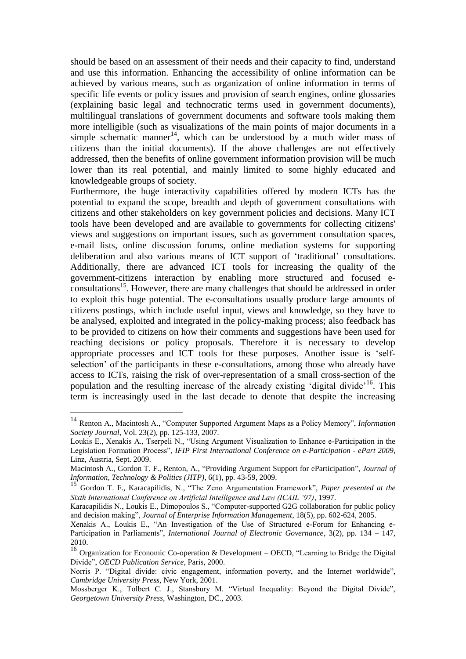should be based on an assessment of their needs and their capacity to find, understand and use this information. Enhancing the accessibility of online information can be achieved by various means, such as organization of online information in terms of specific life events or policy issues and provision of search engines, online glossaries (explaining basic legal and technocratic terms used in government documents), multilingual translations of government documents and software tools making them more intelligible (such as visualizations of the main points of major documents in a simple schematic manner<sup>14</sup>, which can be understood by a much wider mass of citizens than the initial documents). If the above challenges are not effectively addressed, then the benefits of online government information provision will be much lower than its real potential, and mainly limited to some highly educated and knowledgeable groups of society.

Furthermore, the huge interactivity capabilities offered by modern ICTs has the potential to expand the scope, breadth and depth of government consultations with citizens and other stakeholders on key government policies and decisions. Many ICT tools have been developed and are available to governments for collecting citizens' views and suggestions on important issues, such as government consultation spaces, e-mail lists, online discussion forums, online mediation systems for supporting deliberation and also various means of ICT support of ‗traditional' consultations. Additionally, there are advanced ICT tools for increasing the quality of the government-citizens interaction by enabling more structured and focused econsultations<sup>15</sup>. However, there are many challenges that should be addressed in order to exploit this huge potential. The e-consultations usually produce large amounts of citizens postings, which include useful input, views and knowledge, so they have to be analysed, exploited and integrated in the policy-making process; also feedback has to be provided to citizens on how their comments and suggestions have been used for reaching decisions or policy proposals. Therefore it is necessary to develop appropriate processes and ICT tools for these purposes. Another issue is 'selfselection' of the participants in these e-consultations, among those who already have access to ICTs, raising the risk of over-representation of a small cross-section of the population and the resulting increase of the already existing 'digital divide'<sup>16</sup>. This term is increasingly used in the last decade to denote that despite the increasing

<sup>&</sup>lt;sup>14</sup> Renton A., Macintosh A., "Computer Supported Argument Maps as a Policy Memory", *Information Society Journal*, Vol. 23(2), pp. 125-133, 2007.

Loukis E., Xenakis A., Tserpeli N., "Using Argument Visualization to Enhance e-Participation in the Legislation Formation Process‖, *IFIP First International Conference on e-Participation - ePart 2009*, Linz, Austria, Sept. 2009.

Macintosh A., Gordon T. F., Renton, A., "Providing Argument Support for eParticipation", *Journal of Information, Technology & Politics (JITP)*, 6(1), pp. 43-59, 2009.

<sup>15</sup> Gordon T. F., Karacapilidis, N., "The Zeno Argumentation Framework", *Paper presented at the Sixth International Conference on Artificial Intelligence and Law (ICAIL '97)*, 1997.

Karacapilidis N., Loukis E., Dimopoulos S., "Computer-supported G2G collaboration for public policy and decision making", *Journal of Enterprise Information Management*, 18(5), pp. 602-624, 2005.

Xenakis A., Loukis E., "An Investigation of the Use of Structured e-Forum for Enhancing e-Participation in Parliaments", *International Journal of Electronic Governance*, 3(2), pp. 134 – 147, 2010.

 $\frac{16}{16}$  Organization for Economic Co-operation & Development – OECD, "Learning to Bridge the Digital Divide", *OECD Publication Service*, Paris, 2000.

Norris P. "Digital divide: civic engagement, information poverty, and the Internet worldwide". *Cambridge University Press*, New York, 2001.

Mossberger K., Tolbert C. J., Stansbury M. "Virtual Inequality: Beyond the Digital Divide". *Georgetown University Press*, Washington, DC., 2003.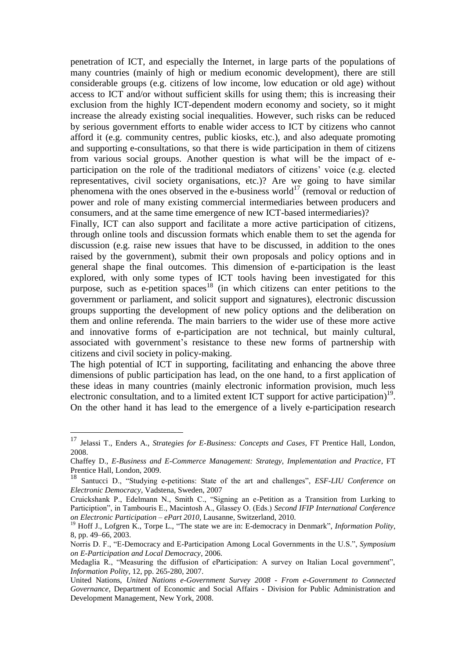penetration of ICT, and especially the Internet, in large parts of the populations of many countries (mainly of high or medium economic development), there are still considerable groups (e.g. citizens of low income, low education or old age) without access to ICT and/or without sufficient skills for using them; this is increasing their exclusion from the highly ICT-dependent modern economy and society, so it might increase the already existing social inequalities. However, such risks can be reduced by serious government efforts to enable wider access to ICT by citizens who cannot afford it (e.g. community centres, public kiosks, etc.), and also adequate promoting and supporting e-consultations, so that there is wide participation in them of citizens from various social groups. Another question is what will be the impact of eparticipation on the role of the traditional mediators of citizens' voice (e.g. elected representatives, civil society organisations, etc.)? Are we going to have similar phenomena with the ones observed in the e-business world<sup>17</sup> (removal or reduction of power and role of many existing commercial intermediaries between producers and consumers, and at the same time emergence of new ICT-based intermediaries)?

Finally, ICT can also support and facilitate a more active participation of citizens, through online tools and discussion formats which enable them to set the agenda for discussion (e.g. raise new issues that have to be discussed, in addition to the ones raised by the government), submit their own proposals and policy options and in general shape the final outcomes. This dimension of e-participation is the least explored, with only some types of ICT tools having been investigated for this purpose, such as e-petition spaces<sup>18</sup> (in which citizens can enter petitions to the government or parliament, and solicit support and signatures), electronic discussion groups supporting the development of new policy options and the deliberation on them and online referenda. The main barriers to the wider use of these more active and innovative forms of e-participation are not technical, but mainly cultural, associated with government's resistance to these new forms of partnership with citizens and civil society in policy-making.

The high potential of ICT in supporting, facilitating and enhancing the above three dimensions of public participation has lead, on the one hand, to a first application of these ideas in many countries (mainly electronic information provision, much less electronic consultation, and to a limited extent ICT support for active participation)<sup>19</sup>. On the other hand it has lead to the emergence of a lively e-participation research

<u>.</u>

<sup>17</sup> Jelassi T., Enders A., *Strategies for E-Business: Concepts and Cases*, FT Prentice Hall, London, 2008.

Chaffey D., *E-Business and E-Commerce Management: Strategy, Implementation and Practice*, FT Prentice Hall, London, 2009.

<sup>18</sup> Santucci D., "Studying e-petitions: State of the art and challenges", *ESF-LIU Conference on Electronic Democracy*, Vadstena, Sweden, 2007

Cruickshank P., Edelmann N., Smith C., "Signing an e-Petition as a Transition from Lurking to Particiption‖, in Tambouris E., Macintosh A., Glassey O. (Eds.) *Second IFIP International Conference on Electronic Participation – ePart 2010*, Lausanne, Switzerland, 2010.

<sup>&</sup>lt;sup>19</sup> Hoff J., Lofgren K., Torpe L., "The state we are in: E-democracy in Denmark", *Information Polity*, 8, pp. 49–66, 2003.

Norris D. F., "E-Democracy and E-Participation Among Local Governments in the U.S.", *Symposium on E-Participation and Local Democracy*, 2006.

Medaglia R., "Measuring the diffusion of eParticipation: A survey on Italian Local government", *Information Polity*, 12, pp. 265-280, 2007.

United Nations, *United Nations e-Government Survey 2008 - From e-Government to Connected Governance*, Department of Economic and Social Affairs - Division for Public Administration and Development Management, New York, 2008.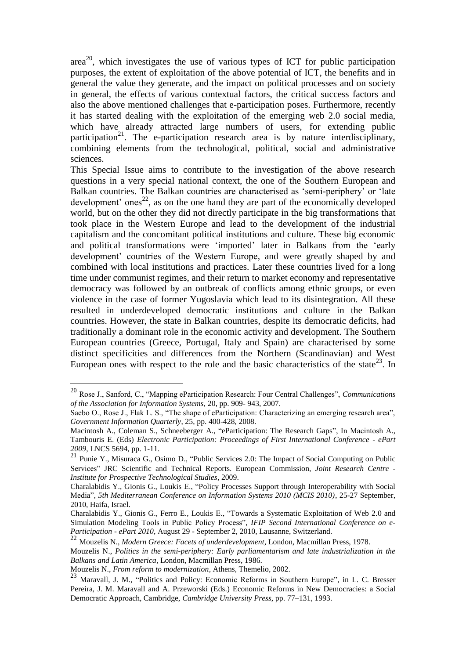$area<sup>20</sup>$ , which investigates the use of various types of ICT for public participation purposes, the extent of exploitation of the above potential of ICT, the benefits and in general the value they generate, and the impact on political processes and on society in general, the effects of various contextual factors, the critical success factors and also the above mentioned challenges that e-participation poses. Furthermore, recently it has started dealing with the exploitation of the emerging web 2.0 social media, which have already attracted large numbers of users, for extending public participation<sup>21</sup>. The e-participation research area is by nature interdisciplinary, combining elements from the technological, political, social and administrative sciences.

This Special Issue aims to contribute to the investigation of the above research questions in a very special national context, the one of the Southern European and Balkan countries. The Balkan countries are characterised as 'semi-periphery' or 'late  $d$ evelopment' ones<sup>22</sup>, as on the one hand they are part of the economically developed world, but on the other they did not directly participate in the big transformations that took place in the Western Europe and lead to the development of the industrial capitalism and the concomitant political institutions and culture. These big economic and political transformations were 'imported' later in Balkans from the 'early development' countries of the Western Europe, and were greatly shaped by and combined with local institutions and practices. Later these countries lived for a long time under communist regimes, and their return to market economy and representative democracy was followed by an outbreak of conflicts among ethnic groups, or even violence in the case of former Yugoslavia which lead to its disintegration. All these resulted in underdeveloped democratic institutions and culture in the Balkan countries. However, the state in Balkan countries, despite its democratic deficits, had traditionally a dominant role in the economic activity and development. The Southern European countries (Greece, Portugal, Italy and Spain) are characterised by some distinct specificities and differences from the Northern (Scandinavian) and West European ones with respect to the role and the basic characteristics of the state<sup>23</sup>. In

<u>.</u>

<sup>&</sup>lt;sup>20</sup> Rose J., Sanford, C., "Mapping eParticipation Research: Four Central Challenges", *Communications of the Association for Information Systems*, 20, pp. 909- 943, 2007.

Saebo O., Rose J., Flak L. S., "The shape of eParticipation: Characterizing an emerging research area", *Government Information Quarterly*, 25, pp. 400-428, 2008.

Macintosh A., Coleman S., Schneeberger A., "eParticipation: The Research Gaps", In Macintosh A., Tambouris E. (Eds) *Electronic Participation: Proceedings of First International Conference - ePart 2009*, LNCS 5694, pp. 1-11.

 $21$  Punie Y., Misuraca G., Osimo D., "Public Services 2.0: The Impact of Social Computing on Public Services‖ JRC Scientific and Technical Reports. European Commission, *Joint Research Centre - Institute for Prospective Technological Studies*, 2009.

Charalabidis Y., Gionis G., Loukis E., "Policy Processes Support through Interoperability with Social Media‖, *5th Mediterranean Conference on Information Systems 2010 (MCIS 2010)*, 25-27 September, 2010, Haifa, Israel.

Charalabidis Y., Gionis G., Ferro E., Loukis E., "Towards a Systematic Exploitation of Web 2.0 and Simulation Modeling Tools in Public Policy Process", *IFIP Second International Conference on e-Participation - ePart 2010*, August 29 - September 2, 2010, Lausanne, Switzerland.

<sup>22</sup> Mouzelis N., *Modern Greece: Facets of underdevelopment*, London, Macmillan Press, 1978.

Mouzelis N., *Politics in the semi-periphery: Early parliamentarism and late industrialization in the Balkans and Latin America*, London, Macmillan Press, 1986.

Mouzelis N., *From reform to modernization*, Athens, Themelio, 2002.

<sup>&</sup>lt;sup>23</sup> Maravall, J. M., "Politics and Policy: Economic Reforms in Southern Europe", in L. C. Bresser Pereira, J. M. Maravall and A. Przeworski (Eds.) Economic Reforms in New Democracies: a Social Democratic Approach, Cambridge, *Cambridge University Press*, pp. 77–131, 1993.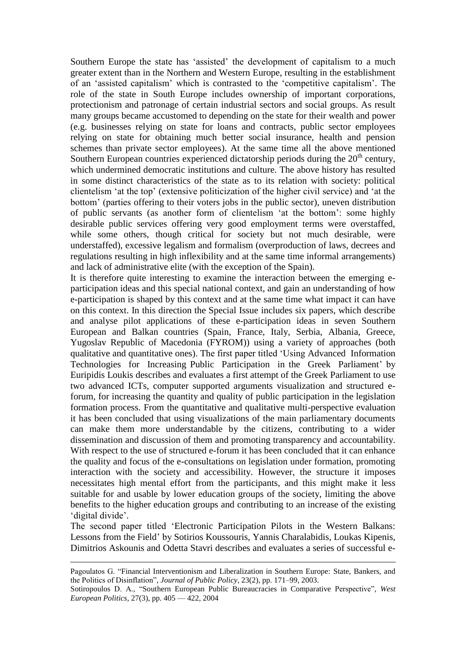Southern Europe the state has 'assisted' the development of capitalism to a much greater extent than in the Northern and Western Europe, resulting in the establishment of an ‗assisted capitalism' which is contrasted to the ‗competitive capitalism'. The role of the state in South Europe includes ownership of important corporations, protectionism and patronage of certain industrial sectors and social groups. As result many groups became accustomed to depending on the state for their wealth and power (e.g. businesses relying on state for loans and contracts, public sector employees relying on state for obtaining much better social insurance, health and pension schemes than private sector employees). At the same time all the above mentioned Southern European countries experienced dictatorship periods during the  $20<sup>th</sup>$  century, which undermined democratic institutions and culture. The above history has resulted in some distinct characteristics of the state as to its relation with society: political clientelism 'at the top' (extensive politicization of the higher civil service) and 'at the bottom' (parties offering to their voters jobs in the public sector), uneven distribution of public servants (as another form of clientelism 'at the bottom': some highly desirable public services offering very good employment terms were overstaffed, while some others, though critical for society but not much desirable, were understaffed), excessive legalism and formalism (overproduction of laws, decrees and regulations resulting in high inflexibility and at the same time informal arrangements) and lack of administrative elite (with the exception of the Spain).

It is therefore quite interesting to examine the interaction between the emerging eparticipation ideas and this special national context, and gain an understanding of how e-participation is shaped by this context and at the same time what impact it can have on this context. In this direction the Special Issue includes six papers, which describe and analyse pilot applications of these e-participation ideas in seven Southern European and Balkan countries (Spain, France, Italy, Serbia, Albania, Greece, Yugoslav Republic of Macedonia (FYROM)) using a variety of approaches (both qualitative and quantitative ones). The first paper titled ‗Using Advanced Information Technologies for Increasing Public Participation in the Greek Parliament' by Euripidis Loukis describes and evaluates a first attempt of the Greek Parliament to use two advanced ICTs, computer supported arguments visualization and structured eforum, for increasing the quantity and quality of public participation in the legislation formation process. From the quantitative and qualitative multi-perspective evaluation it has been concluded that using visualizations of the main parliamentary documents can make them more understandable by the citizens, contributing to a wider dissemination and discussion of them and promoting transparency and accountability. With respect to the use of structured e-forum it has been concluded that it can enhance the quality and focus of the e-consultations on legislation under formation, promoting interaction with the society and accessibility. However, the structure it imposes necessitates high mental effort from the participants, and this might make it less suitable for and usable by lower education groups of the society, limiting the above benefits to the higher education groups and contributing to an increase of the existing 'digital divide'.

The second paper titled 'Electronic Participation Pilots in the Western Balkans: Lessons from the Field' by Sotirios Koussouris, Yannis Charalabidis, Loukas Kipenis, Dimitrios Askounis and Odetta Stavri describes and evaluates a series of successful e-

Pagoulatos G. "Financial Interventionism and Liberalization in Southern Europe: State, Bankers, and the Politics of Disinflation", *Journal of Public Policy*, 23(2), pp. 171–99, 2003.

Sotiropoulos D. A., "Southern European Public Bureaucracies in Comparative Perspective", *West European Politics*, 27(3), pp. 405 — 422, 2004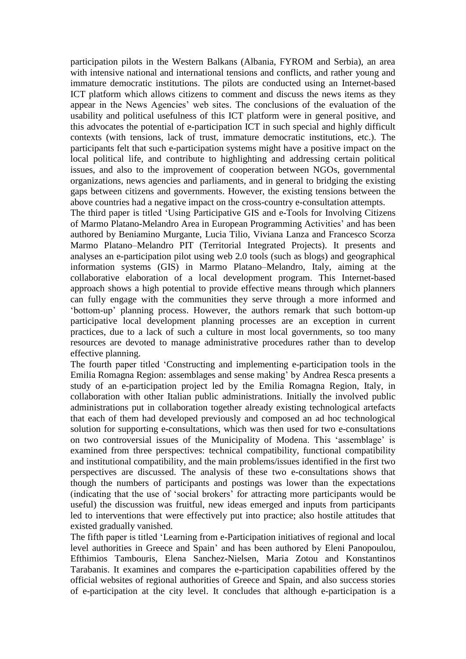participation pilots in the Western Balkans (Albania, FYROM and Serbia), an area with intensive national and international tensions and conflicts, and rather young and immature democratic institutions. The pilots are conducted using an Internet-based ICT platform which allows citizens to comment and discuss the news items as they appear in the News Agencies' web sites. The conclusions of the evaluation of the usability and political usefulness of this ICT platform were in general positive, and this advocates the potential of e-participation ICT in such special and highly difficult contexts (with tensions, lack of trust, immature democratic institutions, etc.). The participants felt that such e-participation systems might have a positive impact on the local political life, and contribute to highlighting and addressing certain political issues, and also to the improvement of cooperation between NGOs, governmental organizations, news agencies and parliaments, and in general to bridging the existing gaps between citizens and governments. However, the existing tensions between the above countries had a negative impact on the cross-country e-consultation attempts.

The third paper is titled ‗Using Participative GIS and e-Tools for Involving Citizens of Marmo Platano-Melandro Area in European Programming Activities' and has been authored by Beniamino Murgante, Lucia Tilio, Viviana Lanza and Francesco Scorza Marmo Platano–Melandro PIT (Territorial Integrated Projects). It presents and analyses an e-participation pilot using web 2.0 tools (such as blogs) and geographical information systems (GIS) in Marmo Platano–Melandro, Italy, aiming at the collaborative elaboration of a local development program. This Internet-based approach shows a high potential to provide effective means through which planners can fully engage with the communities they serve through a more informed and ‗bottom-up' planning process. However, the authors remark that such bottom-up participative local development planning processes are an exception in current practices, due to a lack of such a culture in most local governments, so too many resources are devoted to manage administrative procedures rather than to develop effective planning.

The fourth paper titled 'Constructing and implementing e-participation tools in the Emilia Romagna Region: assemblages and sense making' by Andrea Resca presents a study of an e-participation project led by the Emilia Romagna Region, Italy, in collaboration with other Italian public administrations. Initially the involved public administrations put in collaboration together already existing technological artefacts that each of them had developed previously and composed an ad hoc technological solution for supporting e-consultations, which was then used for two e-consultations on two controversial issues of the Municipality of Modena. This ‗assemblage' is examined from three perspectives: technical compatibility, functional compatibility and institutional compatibility, and the main problems/issues identified in the first two perspectives are discussed. The analysis of these two e-consultations shows that though the numbers of participants and postings was lower than the expectations (indicating that the use of ‗social brokers' for attracting more participants would be useful) the discussion was fruitful, new ideas emerged and inputs from participants led to interventions that were effectively put into practice; also hostile attitudes that existed gradually vanished.

The fifth paper is titled 'Learning from e-Participation initiatives of regional and local level authorities in Greece and Spain' and has been authored by Eleni Panopoulou, Efthimios Tambouris, Elena Sanchez-Nielsen, Maria Zotou and Konstantinos Tarabanis. It examines and compares the e-participation capabilities offered by the official websites of regional authorities of Greece and Spain, and also success stories of e-participation at the city level. It concludes that although e-participation is a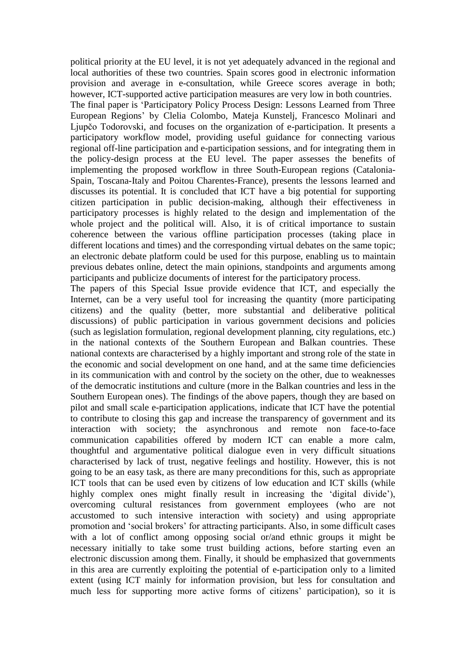political priority at the EU level, it is not yet adequately advanced in the regional and local authorities of these two countries. Spain scores good in electronic information provision and average in e-consultation, while Greece scores average in both; however, ICT-supported active participation measures are very low in both countries. The final paper is 'Participatory Policy Process Design: Lessons Learned from Three European Regions' by Clelia Colombo, Mateja Kunstelj, Francesco Molinari and Ljupčo Todorovski, and focuses on the organization of e-participation. It presents a participatory workflow model, providing useful guidance for connecting various regional off-line participation and e-participation sessions, and for integrating them in the policy-design process at the EU level. The paper assesses the benefits of implementing the proposed workflow in three South-European regions (Catalonia-Spain, Toscana-Italy and Poitou Charentes-France), presents the lessons learned and discusses its potential. It is concluded that ICT have a big potential for supporting citizen participation in public decision-making, although their effectiveness in participatory processes is highly related to the design and implementation of the whole project and the political will. Also, it is of critical importance to sustain coherence between the various offline participation processes (taking place in different locations and times) and the corresponding virtual debates on the same topic; an electronic debate platform could be used for this purpose, enabling us to maintain previous debates online, detect the main opinions, standpoints and arguments among participants and publicize documents of interest for the participatory process.

The papers of this Special Issue provide evidence that ICT, and especially the Internet, can be a very useful tool for increasing the quantity (more participating citizens) and the quality (better, more substantial and deliberative political discussions) of public participation in various government decisions and policies (such as legislation formulation, regional development planning, city regulations, etc.) in the national contexts of the Southern European and Balkan countries. These national contexts are characterised by a highly important and strong role of the state in the economic and social development on one hand, and at the same time deficiencies in its communication with and control by the society on the other, due to weaknesses of the democratic institutions and culture (more in the Balkan countries and less in the Southern European ones). The findings of the above papers, though they are based on pilot and small scale e-participation applications, indicate that ICT have the potential to contribute to closing this gap and increase the transparency of government and its interaction with society; the asynchronous and remote non face-to-face communication capabilities offered by modern ICT can enable a more calm, thoughtful and argumentative political dialogue even in very difficult situations characterised by lack of trust, negative feelings and hostility. However, this is not going to be an easy task, as there are many preconditions for this, such as appropriate ICT tools that can be used even by citizens of low education and ICT skills (while highly complex ones might finally result in increasing the 'digital divide'), overcoming cultural resistances from government employees (who are not accustomed to such intensive interaction with society) and using appropriate promotion and ‗social brokers' for attracting participants. Also, in some difficult cases with a lot of conflict among opposing social or/and ethnic groups it might be necessary initially to take some trust building actions, before starting even an electronic discussion among them. Finally, it should be emphasized that governments in this area are currently exploiting the potential of e-participation only to a limited extent (using ICT mainly for information provision, but less for consultation and much less for supporting more active forms of citizens' participation), so it is